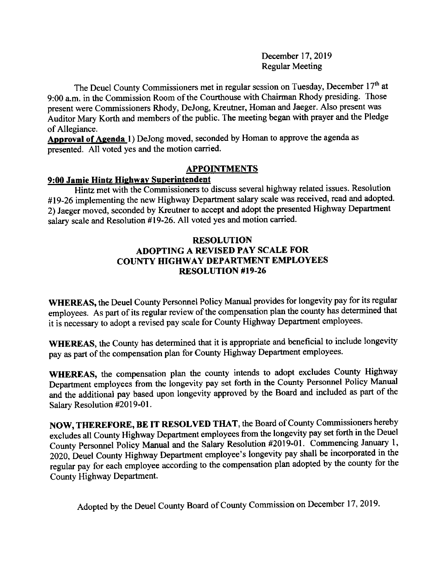December 17, 2019 Regular Meeting

The Deuel County Commissioners met in regular session on Tuesday, December 17<sup>th</sup> at 9:00 a.m. in the commission Room of the courthouse with chairman Rhody presiding. Those present were Commissioners Rhody, DeJong, Kreutner, Homan and Jaeger. Also present was Auditor Mary Korth and members of the public. The meeting began with prayer and the Pledge of Allegiance.

Approval of Agenda 1) DeJong moved, seconded by Homan to approve the agenda as presented. All voted yes and the motion carried.

## **APPOINTMENTS**

## 9:00 Jamie Hintz Highway Superintendent

Hintz met with the Commissioners to discuss several highway related issues. Resolution #19-26 implementing the new Highway Departrnent salary scale was received, read and adopted. 2) Jaeger moved, seconded by Kreutner to accept and adopt the presented Highway Department salary scale and Resolution #19-26. All voted yes and motion carried.

## RESOLUTION ADOPTING A REVISED PAY SCALE FOR COUNTY HIGHWAY DEPARTMENT EMPLOYEES RESOLUTION #19-26

WHEREAS, the Deuel County Personnel Policy Manual provides for longevity pay for its regular employees. As part of its regular review of the compensation plan the county has determined that it is necessary to adopt a revised pay scale for County Highway Department employees.

WHEREAS, the County has determined that it is appropriate and beneficial to include longevity pay as part of the compensation plan for County Highway Department employees.

WHEREAS, the compensation plan the county intends to adopt excludes county Highway Department employees from the longevity pay set forth in the County Personnel Policy Manual and the additional pay based upon longevity approved by the Board and included as part of the Salary Resolution #2019-01.

NOW, THEREFORE, BE IT RESOLVED THAT, the Board of County Commissioners hereby excludes all County Highway Department employees from the longevity pay set forth in the Deuel County Personnel Policy Manual and the Salary Resolution #2019-01. Commencing January 1, 2020, beuel County Highway Departrnent employee's longevity pay shall be incorporated in the regular pay for each employee according to the compensation plan adopted by the county for the County Highway Department.

Adopted by the Deuel county Board of county commission on December 17,2019.